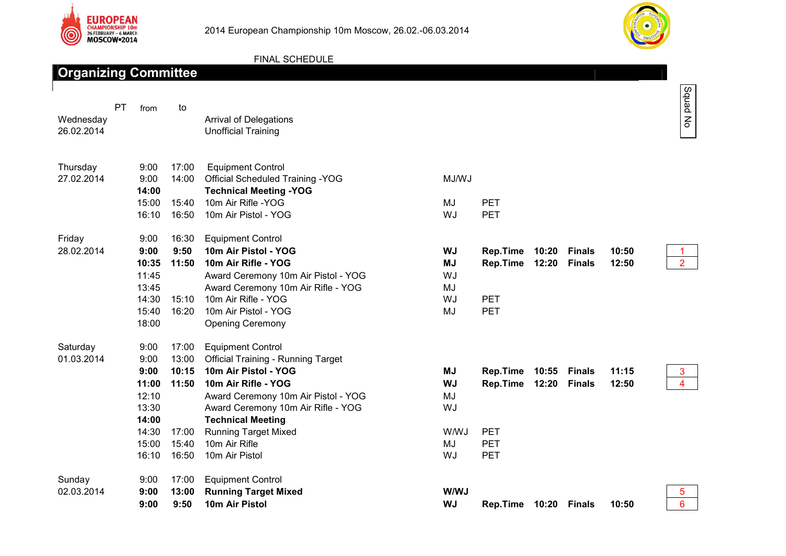



## FINAL SCHEDULE

| <b>Organizing Committee</b> |    |                                                                                     |                                                             |                                                                                                                                                                                                                                                                                                 |                                                               |                                                                       |                |                                |                |                     |
|-----------------------------|----|-------------------------------------------------------------------------------------|-------------------------------------------------------------|-------------------------------------------------------------------------------------------------------------------------------------------------------------------------------------------------------------------------------------------------------------------------------------------------|---------------------------------------------------------------|-----------------------------------------------------------------------|----------------|--------------------------------|----------------|---------------------|
| Wednesday<br>26.02.2014     | PT | from                                                                                | to                                                          | <b>Arrival of Delegations</b><br><b>Unofficial Training</b>                                                                                                                                                                                                                                     |                                                               |                                                                       |                |                                |                | Squad No            |
| Thursday<br>27.02.2014      |    | 9:00<br>9:00<br>14:00<br>15:00<br>16:10                                             | 17:00<br>14:00<br>15:40<br>16:50                            | <b>Equipment Control</b><br><b>Official Scheduled Training -YOG</b><br><b>Technical Meeting -YOG</b><br>10m Air Rifle - YOG<br>10m Air Pistol - YOG                                                                                                                                             | MJ/WJ<br>MJ<br>WJ                                             | <b>PET</b><br>PET                                                     |                |                                |                |                     |
| Friday<br>28.02.2014        |    | 9:00<br>9:00<br>10:35<br>11:45<br>13:45<br>14:30<br>15:40<br>18:00                  | 16:30<br>9:50<br>11:50<br>15:10<br>16:20                    | <b>Equipment Control</b><br>10m Air Pistol - YOG<br>10m Air Rifle - YOG<br>Award Ceremony 10m Air Pistol - YOG<br>Award Ceremony 10m Air Rifle - YOG<br>10m Air Rifle - YOG<br>10m Air Pistol - YOG<br><b>Opening Ceremony</b>                                                                  | <b>WJ</b><br><b>MJ</b><br>WJ<br>MJ<br>WJ<br>MJ                | <b>Rep.Time</b><br>Rep.Time<br><b>PET</b><br>PET                      | 10:20<br>12:20 | <b>Finals</b><br><b>Finals</b> | 10:50<br>12:50 | $\overline{2}$      |
| Saturday<br>01.03.2014      |    | 9:00<br>9:00<br>9:00<br>11:00<br>12:10<br>13:30<br>14:00<br>14:30<br>15:00<br>16:10 | 17:00<br>13:00<br>10:15<br>11:50<br>17:00<br>15:40<br>16:50 | <b>Equipment Control</b><br><b>Official Training - Running Target</b><br>10m Air Pistol - YOG<br>10m Air Rifle - YOG<br>Award Ceremony 10m Air Pistol - YOG<br>Award Ceremony 10m Air Rifle - YOG<br><b>Technical Meeting</b><br><b>Running Target Mixed</b><br>10m Air Rifle<br>10m Air Pistol | <b>MJ</b><br><b>WJ</b><br>MJ<br>WJ<br><b>W/WJ</b><br>MJ<br>WJ | <b>Rep.Time</b><br>Rep.Time<br><b>PET</b><br><b>PET</b><br><b>PET</b> | 10:55<br>12:20 | <b>Finals</b><br><b>Finals</b> | 11:15<br>12:50 | 3<br>$\overline{4}$ |
| Sunday<br>02.03.2014        |    | 9:00<br>9:00<br>9:00                                                                | 17:00<br>13:00<br>9:50                                      | <b>Equipment Control</b><br><b>Running Target Mixed</b><br>10m Air Pistol                                                                                                                                                                                                                       | W/WJ<br><b>WJ</b>                                             | Rep.Time                                                              | 10:20          | <b>Finals</b>                  | 10:50          | 5<br>$6\phantom{a}$ |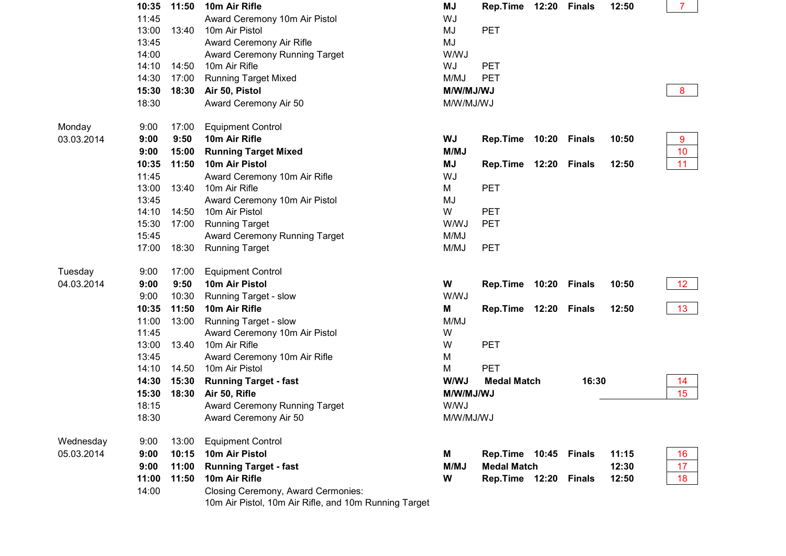|            | 10:35                            | 11:50 | 10m Air Rifle                                                                               | <b>MJ</b>   | Rep.Time              | 12:20 | <b>Finals</b> | 12:50 | $\overline{7}$  |
|------------|----------------------------------|-------|---------------------------------------------------------------------------------------------|-------------|-----------------------|-------|---------------|-------|-----------------|
|            | 11:45                            |       | Award Ceremony 10m Air Pistol                                                               | WJ          |                       |       |               |       |                 |
|            | 13:00                            | 13:40 | 10m Air Pistol                                                                              | MJ          | <b>PET</b>            |       |               |       |                 |
|            | 13:45                            |       | Award Ceremony Air Rifle                                                                    | MJ          |                       |       |               |       |                 |
|            | 14:00                            |       | Award Ceremony Running Target                                                               | <b>W/WJ</b> |                       |       |               |       |                 |
|            | 14:10                            | 14:50 | 10m Air Rifle                                                                               | WJ          | <b>PET</b>            |       |               |       |                 |
|            | 14:30                            | 17:00 | <b>Running Target Mixed</b>                                                                 | M/MJ        | <b>PET</b>            |       |               |       |                 |
|            | 15:30<br>18:30<br>Air 50, Pistol |       |                                                                                             | M/W/MJ/WJ   |                       |       |               |       | 8               |
|            | 18:30                            |       | Award Ceremony Air 50                                                                       | M/W/MJ/WJ   |                       |       |               |       |                 |
| Monday     | 9:00                             | 17:00 | <b>Equipment Control</b>                                                                    |             |                       |       |               |       |                 |
| 03.03.2014 | 9:00                             | 9:50  | 10m Air Rifle                                                                               | WJ          | Rep.Time              | 10:20 | <b>Finals</b> | 10:50 | 9               |
|            | 9:00                             | 15:00 | <b>Running Target Mixed</b>                                                                 | M/MJ        |                       |       |               |       | 10              |
|            | 10:35                            | 11:50 | 10m Air Pistol                                                                              | MJ          | Rep.Time 12:20 Finals |       |               | 12:50 | 11              |
|            | 11:45                            |       | Award Ceremony 10m Air Rifle                                                                | WJ          |                       |       |               |       |                 |
|            | 13:00                            | 13:40 | 10m Air Rifle                                                                               | M           | PET                   |       |               |       |                 |
|            | 13:45                            |       | Award Ceremony 10m Air Pistol                                                               | MJ          |                       |       |               |       |                 |
|            | 14:10                            | 14:50 | 10m Air Pistol                                                                              | W           | <b>PET</b>            |       |               |       |                 |
|            | 15:30                            | 17:00 | <b>Running Target</b>                                                                       | <b>W/WJ</b> | <b>PET</b>            |       |               |       |                 |
|            | 15:45                            |       | Award Ceremony Running Target                                                               | M/MJ        |                       |       |               |       |                 |
|            | 17:00                            | 18:30 | <b>Running Target</b>                                                                       | M/MJ        | <b>PET</b>            |       |               |       |                 |
| Tuesday    | 9:00                             | 17:00 | <b>Equipment Control</b>                                                                    |             |                       |       |               |       |                 |
| 04.03.2014 | 9:00                             | 9:50  | 10m Air Pistol                                                                              | W           | <b>Rep.Time</b>       | 10:20 | <b>Finals</b> | 10:50 | 12 <sub>2</sub> |
|            | 9:00                             | 10:30 | Running Target - slow                                                                       | <b>W/WJ</b> |                       |       |               |       |                 |
|            | 10:35                            | 11:50 | 10m Air Rifle                                                                               | M           | Rep.Time 12:20 Finals |       |               | 12:50 | 13              |
|            | 11:00                            | 13:00 | Running Target - slow                                                                       | M/MJ        |                       |       |               |       |                 |
|            | 11:45                            |       | Award Ceremony 10m Air Pistol                                                               | W           |                       |       |               |       |                 |
|            | 13:00                            | 13.40 | 10m Air Rifle                                                                               | W           | <b>PET</b>            |       |               |       |                 |
|            | 13:45                            |       | Award Ceremony 10m Air Rifle                                                                | M           |                       |       |               |       |                 |
|            | 14:10                            | 14.50 | 10m Air Pistol                                                                              | M           | PET                   |       |               |       |                 |
|            | 14:30                            | 15:30 | <b>Running Target - fast</b>                                                                | W/WJ        | <b>Medal Match</b>    |       | 16:30         |       | 14              |
|            | 15:30                            | 18:30 | Air 50, Rifle                                                                               | M/W/MJ/WJ   |                       |       |               |       | 15              |
|            | 18:15                            |       | Award Ceremony Running Target                                                               | W/WJ        |                       |       |               |       |                 |
|            | 18:30                            |       | Award Ceremony Air 50                                                                       | M/W/MJ/WJ   |                       |       |               |       |                 |
| Wednesday  | 9:00                             | 13:00 | <b>Equipment Control</b>                                                                    |             |                       |       |               |       |                 |
| 05.03.2014 | 9:00                             | 10:15 | 10m Air Pistol                                                                              | M           | Rep.Time 10:45        |       | <b>Finals</b> | 11:15 | 16              |
|            | 9:00                             | 11:00 | <b>Running Target - fast</b>                                                                | <b>M/MJ</b> | <b>Medal Match</b>    |       |               | 12:30 | 17              |
|            | 11:00                            | 11:50 | 10m Air Rifle                                                                               | W           | Rep.Time 12:20 Finals |       |               | 12:50 | 18              |
|            | 14:00                            |       | Closing Ceremony, Award Cermonies:<br>10m Air Pistol, 10m Air Rifle, and 10m Running Target |             |                       |       |               |       |                 |